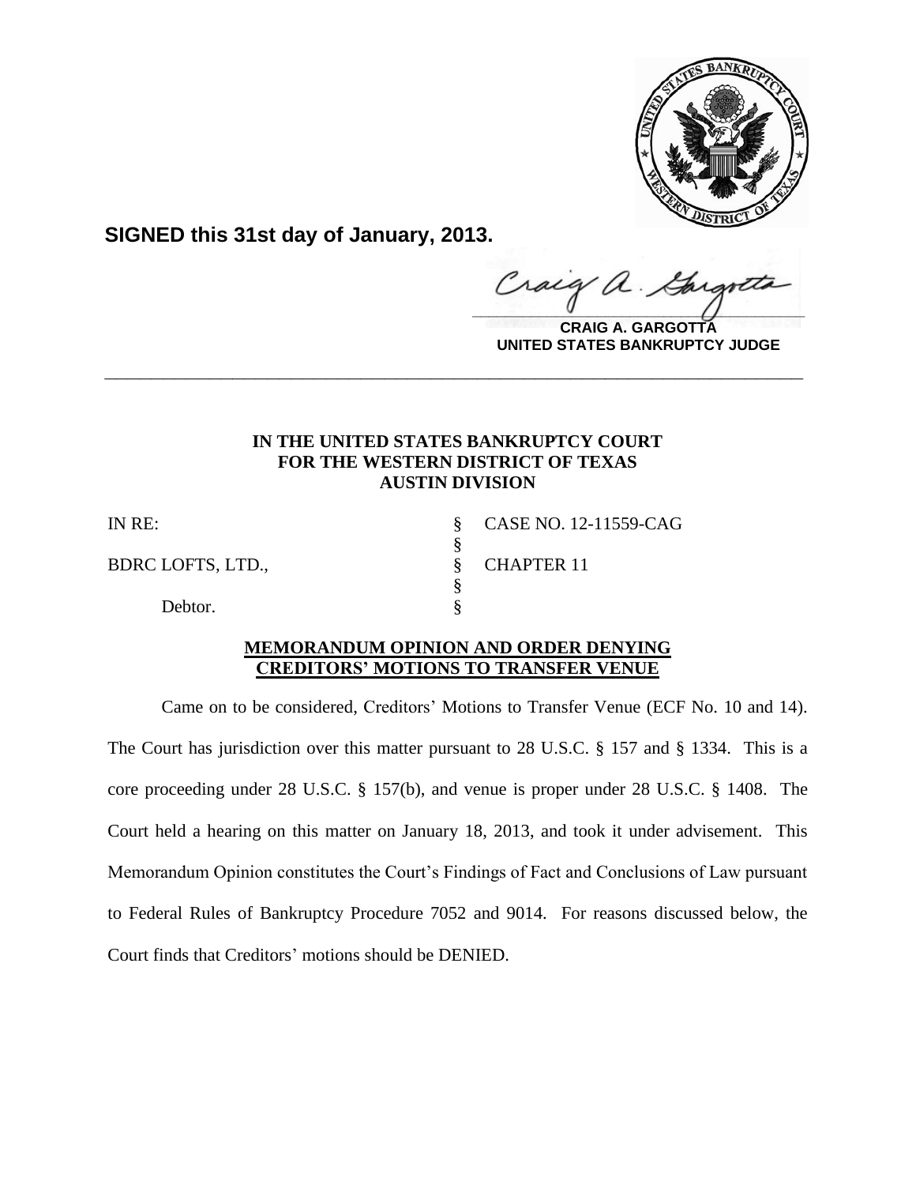

**SIGNED this 31st day of January, 2013.**

Craig  $\alpha$ .  $\frac{1}{2}$ 

**CRAIG A. GARGOTTA UNITED STATES BANKRUPTCY JUDGE**

# **IN THE UNITED STATES BANKRUPTCY COURT FOR THE WESTERN DISTRICT OF TEXAS AUSTIN DIVISION**

**\_\_\_\_\_\_\_\_\_\_\_\_\_\_\_\_\_\_\_\_\_\_\_\_\_\_\_\_\_\_\_\_\_\_\_\_\_\_\_\_\_\_\_\_\_\_\_\_\_\_\_\_\_\_\_\_\_\_\_\_**

§

§

BDRC LOFTS, LTD., SCHAPTER 11

Debtor.

IN RE: § CASE NO. 12-11559-CAG

# **MEMORANDUM OPINION AND ORDER DENYING CREDITORS' MOTIONS TO TRANSFER VENUE**

Came on to be considered, Creditors' Motions to Transfer Venue (ECF No. 10 and 14). The Court has jurisdiction over this matter pursuant to 28 U.S.C. § 157 and § 1334. This is a core proceeding under 28 U.S.C. § 157(b), and venue is proper under 28 U.S.C. § 1408. The Court held a hearing on this matter on January 18, 2013, and took it under advisement. This Memorandum Opinion constitutes the Court's Findings of Fact and Conclusions of Law pursuant to Federal Rules of Bankruptcy Procedure 7052 and 9014. For reasons discussed below, the Court finds that Creditors' motions should be DENIED.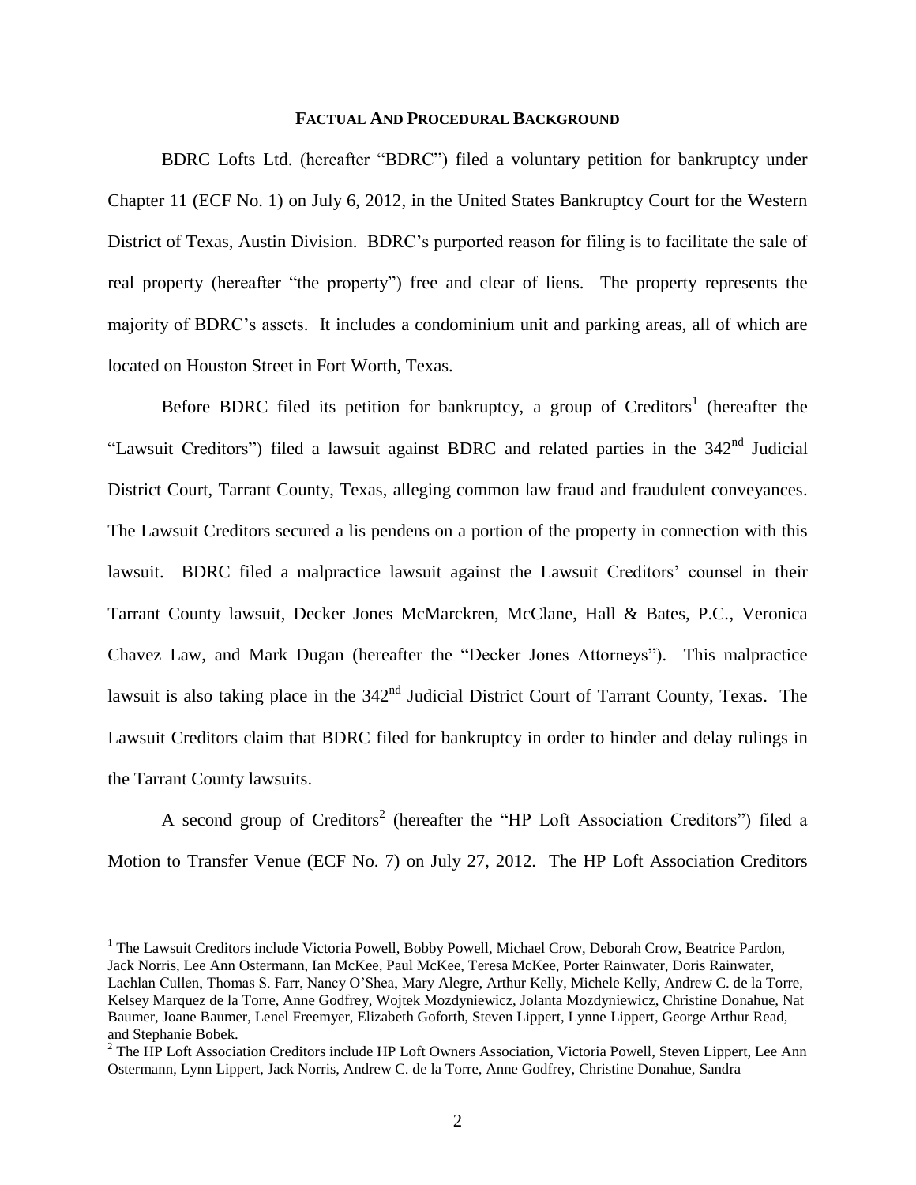#### **FACTUAL AND PROCEDURAL BACKGROUND**

BDRC Lofts Ltd. (hereafter "BDRC") filed a voluntary petition for bankruptcy under Chapter 11 (ECF No. 1) on July 6, 2012, in the United States Bankruptcy Court for the Western District of Texas, Austin Division. BDRC's purported reason for filing is to facilitate the sale of real property (hereafter "the property") free and clear of liens. The property represents the majority of BDRC's assets. It includes a condominium unit and parking areas, all of which are located on Houston Street in Fort Worth, Texas.

Before BDRC filed its petition for bankruptcy, a group of Creditors<sup>1</sup> (hereafter the "Lawsuit Creditors") filed a lawsuit against BDRC and related parties in the 342nd Judicial District Court, Tarrant County, Texas, alleging common law fraud and fraudulent conveyances. The Lawsuit Creditors secured a lis pendens on a portion of the property in connection with this lawsuit. BDRC filed a malpractice lawsuit against the Lawsuit Creditors' counsel in their Tarrant County lawsuit, Decker Jones McMarckren, McClane, Hall & Bates, P.C., Veronica Chavez Law, and Mark Dugan (hereafter the "Decker Jones Attorneys"). This malpractice lawsuit is also taking place in the 342<sup>nd</sup> Judicial District Court of Tarrant County, Texas. The Lawsuit Creditors claim that BDRC filed for bankruptcy in order to hinder and delay rulings in the Tarrant County lawsuits.

A second group of Creditors<sup>2</sup> (hereafter the "HP Loft Association Creditors") filed a Motion to Transfer Venue (ECF No. 7) on July 27, 2012. The HP Loft Association Creditors

 $\overline{a}$ 

<sup>&</sup>lt;sup>1</sup> The Lawsuit Creditors include Victoria Powell, Bobby Powell, Michael Crow, Deborah Crow, Beatrice Pardon, Jack Norris, Lee Ann Ostermann, Ian McKee, Paul McKee, Teresa McKee, Porter Rainwater, Doris Rainwater, Lachlan Cullen, Thomas S. Farr, Nancy O'Shea, Mary Alegre, Arthur Kelly, Michele Kelly, Andrew C. de la Torre, Kelsey Marquez de la Torre, Anne Godfrey, Wojtek Mozdyniewicz, Jolanta Mozdyniewicz, Christine Donahue, Nat Baumer, Joane Baumer, Lenel Freemyer, Elizabeth Goforth, Steven Lippert, Lynne Lippert, George Arthur Read, and Stephanie Bobek.

<sup>&</sup>lt;sup>2</sup> The HP Loft Association Creditors include HP Loft Owners Association, Victoria Powell, Steven Lippert, Lee Ann Ostermann, Lynn Lippert, Jack Norris, Andrew C. de la Torre, Anne Godfrey, Christine Donahue, Sandra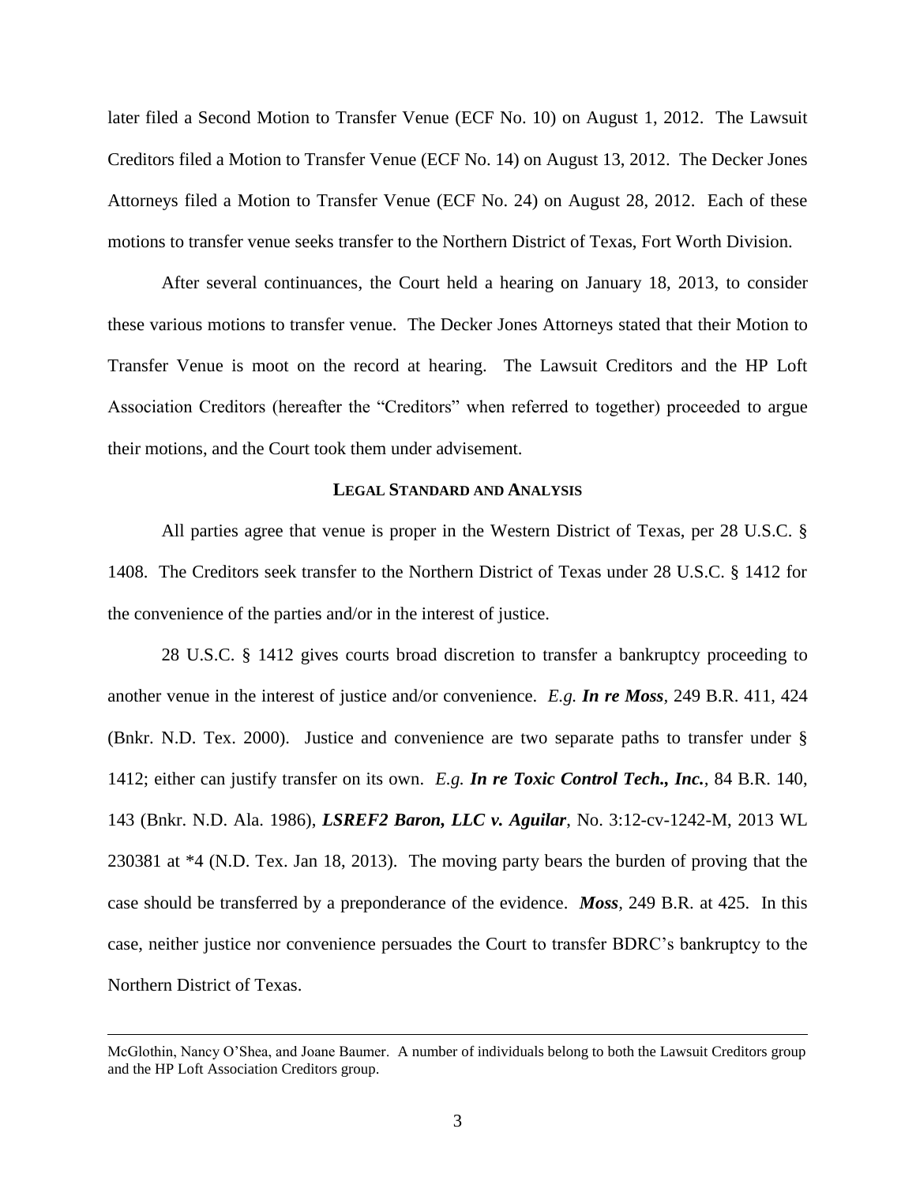later filed a Second Motion to Transfer Venue (ECF No. 10) on August 1, 2012. The Lawsuit Creditors filed a Motion to Transfer Venue (ECF No. 14) on August 13, 2012. The Decker Jones Attorneys filed a Motion to Transfer Venue (ECF No. 24) on August 28, 2012. Each of these motions to transfer venue seeks transfer to the Northern District of Texas, Fort Worth Division.

After several continuances, the Court held a hearing on January 18, 2013, to consider these various motions to transfer venue. The Decker Jones Attorneys stated that their Motion to Transfer Venue is moot on the record at hearing. The Lawsuit Creditors and the HP Loft Association Creditors (hereafter the "Creditors" when referred to together) proceeded to argue their motions, and the Court took them under advisement.

## **LEGAL STANDARD AND ANALYSIS**

All parties agree that venue is proper in the Western District of Texas, per 28 U.S.C. § 1408. The Creditors seek transfer to the Northern District of Texas under 28 U.S.C. § 1412 for the convenience of the parties and/or in the interest of justice.

28 U.S.C. § 1412 gives courts broad discretion to transfer a bankruptcy proceeding to another venue in the interest of justice and/or convenience. *E.g. In re Moss,* 249 B.R. 411, 424 (Bnkr. N.D. Tex. 2000). Justice and convenience are two separate paths to transfer under § 1412; either can justify transfer on its own. *E.g. In re Toxic Control Tech., Inc.,* 84 B.R. 140, 143 (Bnkr. N.D. Ala. 1986), *LSREF2 Baron, LLC v. Aguilar*, No. 3:12-cv-1242-M, 2013 WL 230381 at \*4 (N.D. Tex. Jan 18, 2013). The moving party bears the burden of proving that the case should be transferred by a preponderance of the evidence. *Moss,* 249 B.R. at 425. In this case, neither justice nor convenience persuades the Court to transfer BDRC's bankruptcy to the Northern District of Texas.

 $\overline{a}$ 

McGlothin, Nancy O'Shea, and Joane Baumer. A number of individuals belong to both the Lawsuit Creditors group and the HP Loft Association Creditors group.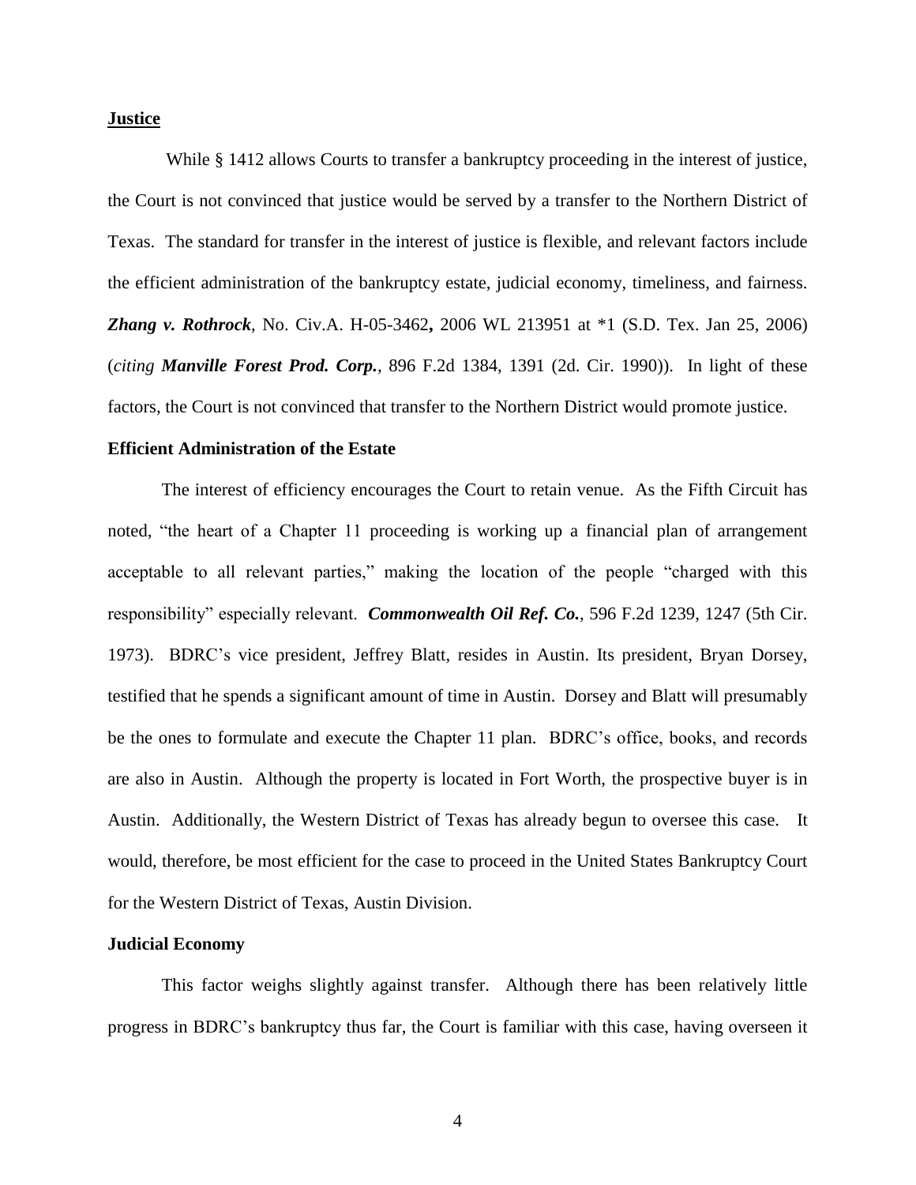## **Justice**

While § 1412 allows Courts to transfer a bankruptcy proceeding in the interest of justice, the Court is not convinced that justice would be served by a transfer to the Northern District of Texas. The standard for transfer in the interest of justice is flexible, and relevant factors include the efficient administration of the bankruptcy estate, judicial economy, timeliness, and fairness. *Zhang v. Rothrock*, No. Civ.A. H-05-3462**,** 2006 WL 213951 at \*1 (S.D. Tex. Jan 25, 2006) (*citing Manville Forest Prod. Corp.*, 896 F.2d 1384, 1391 (2d. Cir. 1990)). In light of these factors, the Court is not convinced that transfer to the Northern District would promote justice.

### **Efficient Administration of the Estate**

The interest of efficiency encourages the Court to retain venue. As the Fifth Circuit has noted, "the heart of a Chapter 11 proceeding is working up a financial plan of arrangement acceptable to all relevant parties," making the location of the people "charged with this responsibility" especially relevant. *Commonwealth Oil Ref. Co.,* 596 F.2d 1239, 1247 (5th Cir. 1973). BDRC's vice president, Jeffrey Blatt, resides in Austin. Its president, Bryan Dorsey, testified that he spends a significant amount of time in Austin. Dorsey and Blatt will presumably be the ones to formulate and execute the Chapter 11 plan. BDRC's office, books, and records are also in Austin. Although the property is located in Fort Worth, the prospective buyer is in Austin. Additionally, the Western District of Texas has already begun to oversee this case. It would, therefore, be most efficient for the case to proceed in the United States Bankruptcy Court for the Western District of Texas, Austin Division.

#### **Judicial Economy**

This factor weighs slightly against transfer. Although there has been relatively little progress in BDRC's bankruptcy thus far, the Court is familiar with this case, having overseen it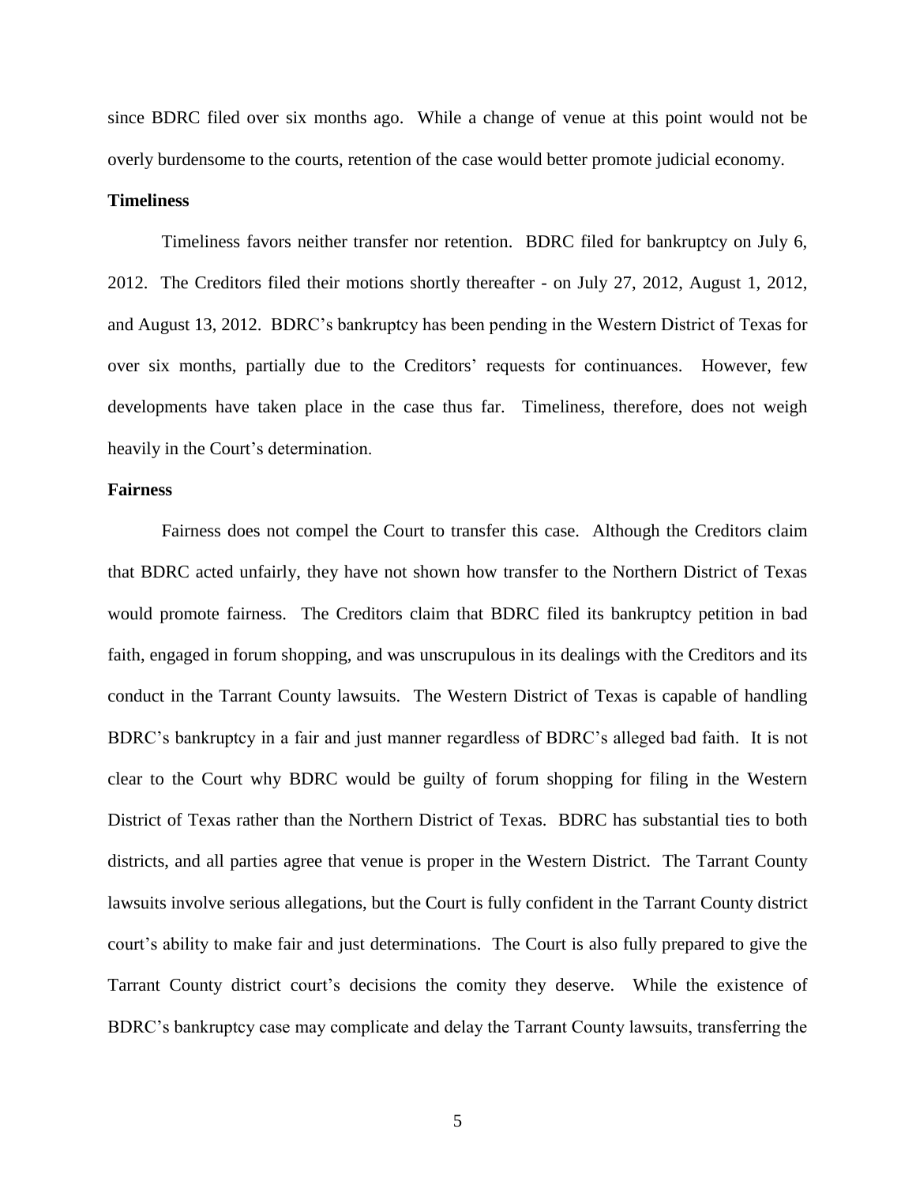since BDRC filed over six months ago. While a change of venue at this point would not be overly burdensome to the courts, retention of the case would better promote judicial economy.

# **Timeliness**

Timeliness favors neither transfer nor retention. BDRC filed for bankruptcy on July 6, 2012. The Creditors filed their motions shortly thereafter - on July 27, 2012, August 1, 2012, and August 13, 2012. BDRC's bankruptcy has been pending in the Western District of Texas for over six months, partially due to the Creditors' requests for continuances. However, few developments have taken place in the case thus far. Timeliness, therefore, does not weigh heavily in the Court's determination.

# **Fairness**

Fairness does not compel the Court to transfer this case. Although the Creditors claim that BDRC acted unfairly, they have not shown how transfer to the Northern District of Texas would promote fairness. The Creditors claim that BDRC filed its bankruptcy petition in bad faith, engaged in forum shopping, and was unscrupulous in its dealings with the Creditors and its conduct in the Tarrant County lawsuits. The Western District of Texas is capable of handling BDRC's bankruptcy in a fair and just manner regardless of BDRC's alleged bad faith. It is not clear to the Court why BDRC would be guilty of forum shopping for filing in the Western District of Texas rather than the Northern District of Texas. BDRC has substantial ties to both districts, and all parties agree that venue is proper in the Western District. The Tarrant County lawsuits involve serious allegations, but the Court is fully confident in the Tarrant County district court's ability to make fair and just determinations. The Court is also fully prepared to give the Tarrant County district court's decisions the comity they deserve. While the existence of BDRC's bankruptcy case may complicate and delay the Tarrant County lawsuits, transferring the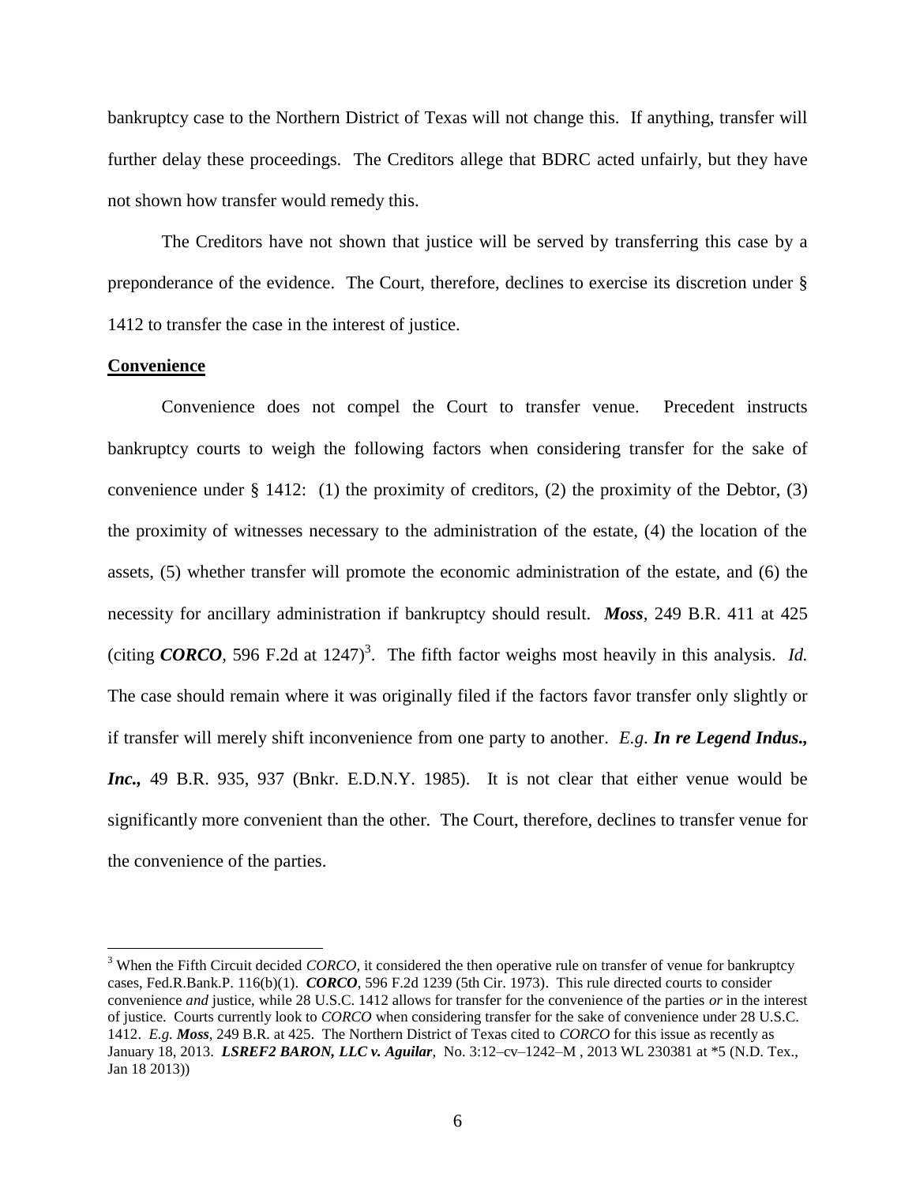bankruptcy case to the Northern District of Texas will not change this. If anything, transfer will further delay these proceedings. The Creditors allege that BDRC acted unfairly, but they have not shown how transfer would remedy this.

The Creditors have not shown that justice will be served by transferring this case by a preponderance of the evidence. The Court, therefore, declines to exercise its discretion under § 1412 to transfer the case in the interest of justice.

### **Convenience**

 $\overline{a}$ 

Convenience does not compel the Court to transfer venue. Precedent instructs bankruptcy courts to weigh the following factors when considering transfer for the sake of convenience under § 1412: (1) the proximity of creditors, (2) the proximity of the Debtor,  $(3)$ the proximity of witnesses necessary to the administration of the estate, (4) the location of the assets, (5) whether transfer will promote the economic administration of the estate, and (6) the necessity for ancillary administration if bankruptcy should result. *Moss,* 249 B.R. 411 at 425 (citing **CORCO**, 596 F.2d at 1247)<sup>3</sup>. The fifth factor weighs most heavily in this analysis. *Id.* The case should remain where it was originally filed if the factors favor transfer only slightly or if transfer will merely shift inconvenience from one party to another. *E.g*. *In re Legend Indus., Inc.,* 49 B.R. 935, 937 (Bnkr. E.D.N.Y. 1985). It is not clear that either venue would be significantly more convenient than the other. The Court, therefore, declines to transfer venue for the convenience of the parties.

<sup>&</sup>lt;sup>3</sup> When the Fifth Circuit decided *CORCO*, it considered the then operative rule on transfer of venue for bankruptcy cases, Fed.R.Bank.P. 116(b)(1). *CORCO*, 596 F.2d 1239 (5th Cir. 1973). This rule directed courts to consider convenience *and* justice, while 28 U.S.C. 1412 allows for transfer for the convenience of the parties *or* in the interest of justice. Courts currently look to *CORCO* when considering transfer for the sake of convenience under 28 U.S.C. 1412. *E.g. Moss,* 249 B.R. at 425. The Northern District of Texas cited to *CORCO* for this issue as recently as January 18, 2013. *LSREF2 BARON, LLC v. Aguilar*,No. 3:12–cv–1242–M , 2013 WL 230381 at \*5 (N.D. Tex., Jan 18 2013))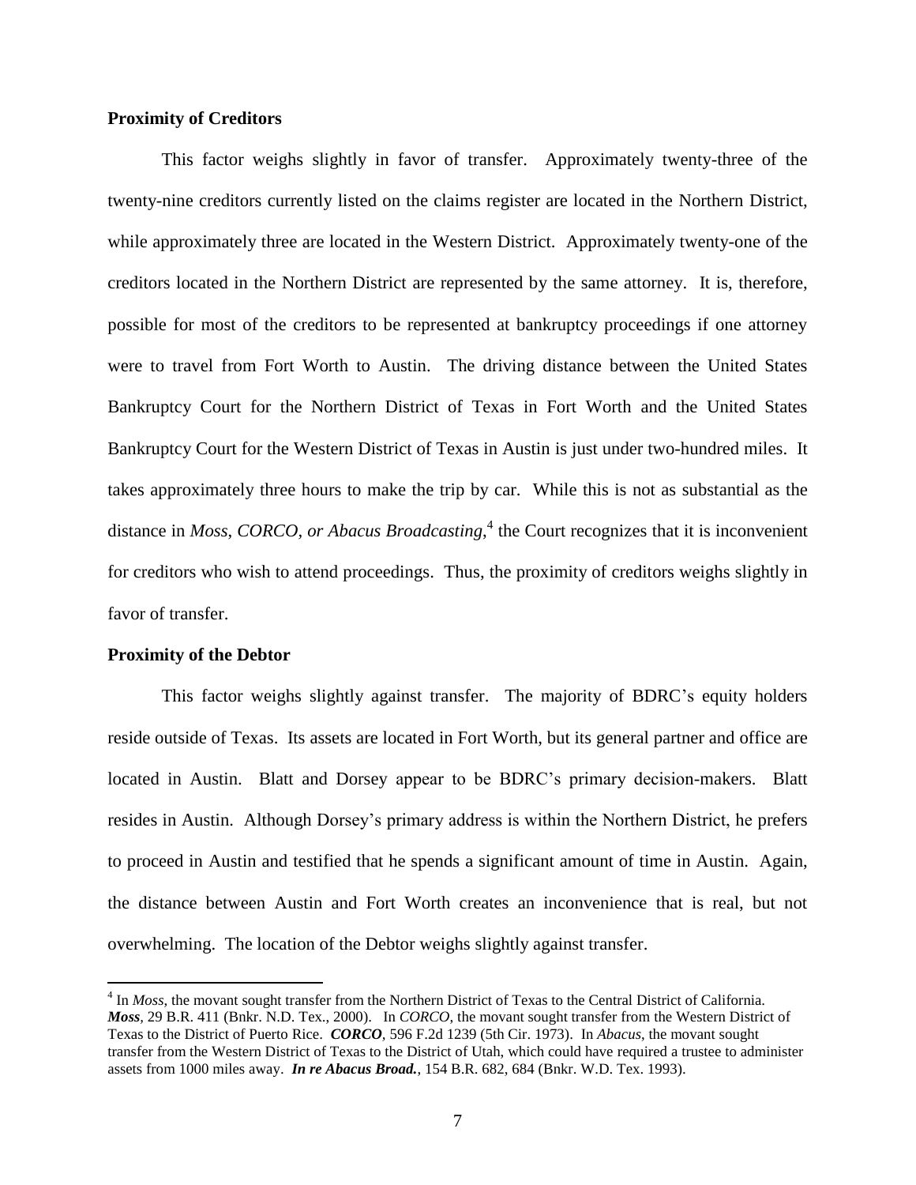## **Proximity of Creditors**

This factor weighs slightly in favor of transfer. Approximately twenty-three of the twenty-nine creditors currently listed on the claims register are located in the Northern District, while approximately three are located in the Western District. Approximately twenty-one of the creditors located in the Northern District are represented by the same attorney. It is, therefore, possible for most of the creditors to be represented at bankruptcy proceedings if one attorney were to travel from Fort Worth to Austin. The driving distance between the United States Bankruptcy Court for the Northern District of Texas in Fort Worth and the United States Bankruptcy Court for the Western District of Texas in Austin is just under two-hundred miles. It takes approximately three hours to make the trip by car. While this is not as substantial as the distance in *Moss*, *CORCO, or Abacus Broadcasting*, 4 the Court recognizes that it is inconvenient for creditors who wish to attend proceedings. Thus, the proximity of creditors weighs slightly in favor of transfer.

#### **Proximity of the Debtor**

 $\overline{a}$ 

This factor weighs slightly against transfer. The majority of BDRC's equity holders reside outside of Texas. Its assets are located in Fort Worth, but its general partner and office are located in Austin. Blatt and Dorsey appear to be BDRC's primary decision-makers. Blatt resides in Austin. Although Dorsey's primary address is within the Northern District, he prefers to proceed in Austin and testified that he spends a significant amount of time in Austin. Again, the distance between Austin and Fort Worth creates an inconvenience that is real, but not overwhelming. The location of the Debtor weighs slightly against transfer.

<sup>&</sup>lt;sup>4</sup> In *Moss*, the movant sought transfer from the Northern District of Texas to the Central District of California. *Moss,* 29 B.R. 411 (Bnkr. N.D. Tex., 2000). In *CORCO*, the movant sought transfer from the Western District of Texas to the District of Puerto Rice. *CORCO,* 596 F.2d 1239 (5th Cir. 1973). In *Abacus*, the movant sought transfer from the Western District of Texas to the District of Utah, which could have required a trustee to administer assets from 1000 miles away. *In re Abacus Broad.*, 154 B.R. 682, 684 (Bnkr. W.D. Tex. 1993).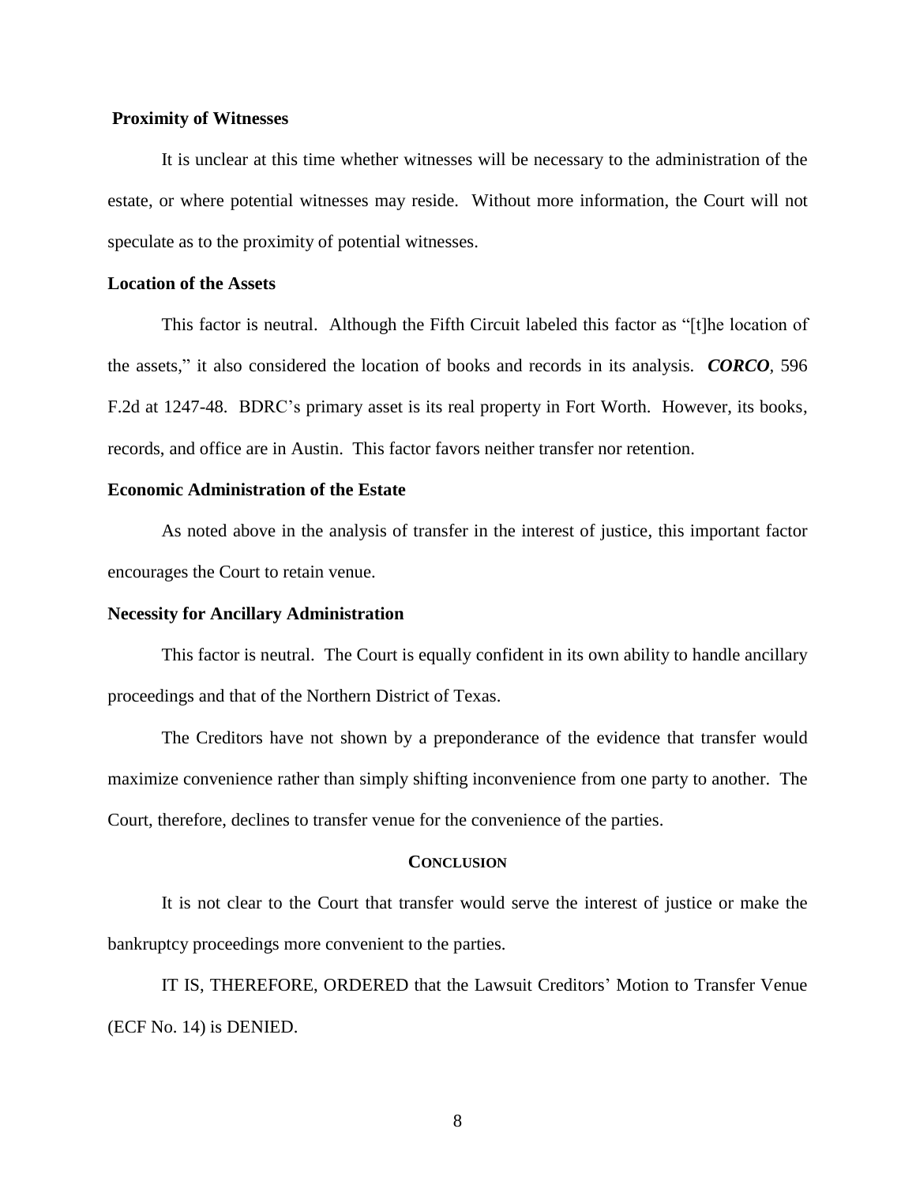### **Proximity of Witnesses**

It is unclear at this time whether witnesses will be necessary to the administration of the estate, or where potential witnesses may reside. Without more information, the Court will not speculate as to the proximity of potential witnesses.

### **Location of the Assets**

This factor is neutral. Although the Fifth Circuit labeled this factor as "[t]he location of the assets," it also considered the location of books and records in its analysis. *CORCO,* 596 F.2d at 1247-48. BDRC's primary asset is its real property in Fort Worth. However, its books, records, and office are in Austin. This factor favors neither transfer nor retention.

# **Economic Administration of the Estate**

As noted above in the analysis of transfer in the interest of justice, this important factor encourages the Court to retain venue.

#### **Necessity for Ancillary Administration**

This factor is neutral. The Court is equally confident in its own ability to handle ancillary proceedings and that of the Northern District of Texas.

The Creditors have not shown by a preponderance of the evidence that transfer would maximize convenience rather than simply shifting inconvenience from one party to another. The Court, therefore, declines to transfer venue for the convenience of the parties.

#### **CONCLUSION**

It is not clear to the Court that transfer would serve the interest of justice or make the bankruptcy proceedings more convenient to the parties.

IT IS, THEREFORE, ORDERED that the Lawsuit Creditors' Motion to Transfer Venue (ECF No. 14) is DENIED.